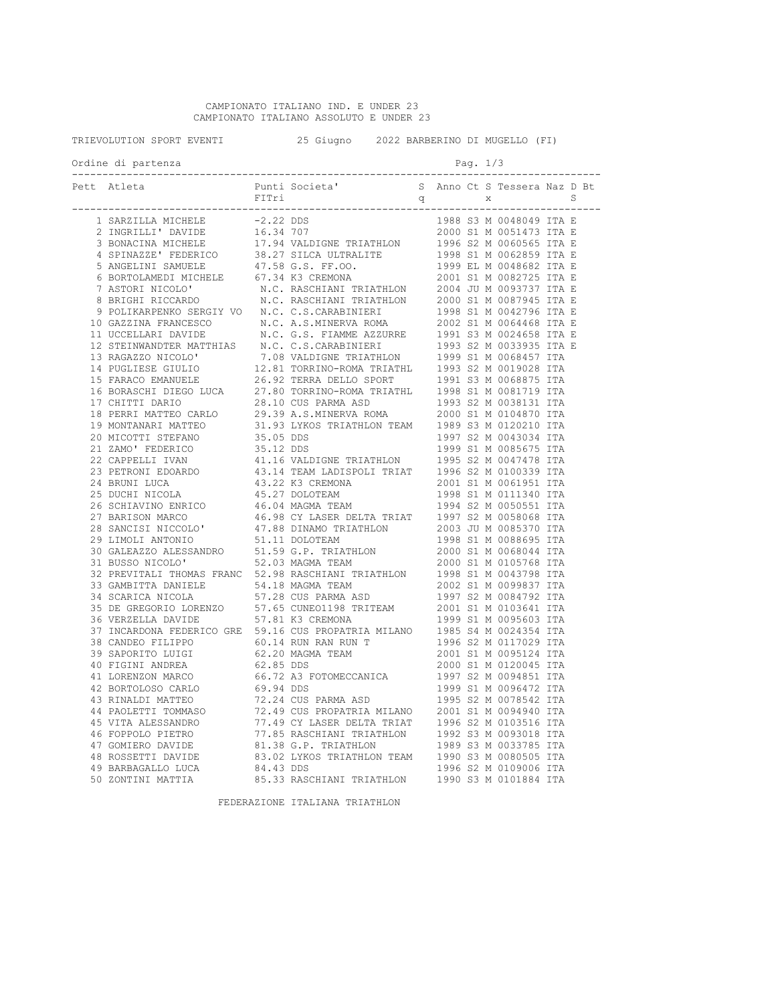CAMPIONATO ITALIANO IND. E UNDER 23 CAMPIONATO ITALIANO ASSOLUTO E UNDER 23

TRIEVOLUTION SPORT EVENTI 25 Giugno 2022 BARBERINO DI MUGELLO (FI) Ordine di partenza entre la page de la page de la page de la page de la page de la page de la page de la page --------------------------------------------------------------------------------------- Pett Atleta Punti Societa' S Anno Ct S Tessera Naz D Bt  $r = \frac{1}{2}$  and  $r = \frac{1}{2}$  and  $r = \frac{1}{2}$  and  $r = \frac{1}{2}$  and  $r = \frac{1}{2}$  and  $r = \frac{1}{2}$  and  $r = \frac{1}{2}$  and  $r = \frac{1}{2}$  and  $r = \frac{1}{2}$  and  $r = \frac{1}{2}$  and  $r = \frac{1}{2}$  and  $r = \frac{1}{2}$  and  $r = \frac{1}{2}$  and  $r = \frac{1}{2}$  a --------------------------------------------------------------------------------------- 1 SARZILLA MICHELE -2.22 DDS<br>2 INGRILLI' DAVIDE 16.34 707 2 INGRILLI' DAVIDE 16.34 707 2000 S1 M 0051473 ITA E 3 BONACINA MICHELE 17.94 VALDIGNE TRIATHLON 1996 S2 M 0060565 ITA E 4 SPINAZZE' FEDERICO 38.27 SILCA ULTRALITE 1998 S1 M 0062859 ITA E 5 ANGELINI SAMUELE 47.58 G.S. FF.OO. 1999 EL M 0048682 ITA E<br>6 BORTOLAMEDI MICHELE 67.34 K3 CREMONA 2001 S1 M 0082725 ITA E 6 BORTOLAMEDI MICHELE 67.34 K3 CREMONA<br>7 ASTORI NICOLO' N.C. RASCHIANI T 7 ASTORI NICOLO' N.C. RASCHIANI TRIATHLON 2004 JU M 0093737 ITA E 8 BRIGHI RICCARDO N.C. RASCHIANI TRIATHLON 2000 S1 M 0087945 ITA E 9 POLIKARPENKO SERGIY VO N.C. C.S.CARABINIERI 1998 S1 M 0042796 ITA E<br>0 GAZZINA FRANCESCO N.C. A.S.MINERVA ROMA 2002 S1 M 0064468 ITA E 10 GAZZINA FRANCESCO N.C. A.S.MINERVA ROMA 2002 S1 M 0064468 ITA E 11 UCCELLARI DAVIDE 10.C. G.S. FIAMME AZZURRE 1991 S3 M 0024658 ITA E<br>12 STEINWANDTER MATTHIAS 1.N.C. C.S.CARABINIERI 1993 S2 M 0033935 ITA E 12 STEINWANDTER MATTHIAS N.C. C.S.CARABINIERI 1993 S2 M 0033935 ITA E 13 RAGAZZO NICOLO' 7.08 VALDIGNE TRIATHLON 1999 S1 M 0068457 ITA 14 PUGLIESE GIULIO 12.81 TORRINO-ROMA TRIATHL 1993 S2 M 0019028 ITA 15 FARACO EMANUELE 26.92 TERRA DELLO SPORT 1991 S3 M 0068875 ITA 16 BORASCHI DIEGO LUCA 27.80 TORRINO-ROMA TRIATHL 1998 S1 M 0081719 ITA 17 CHITTI DARIO 28.10 CUS PARMA ASD 1993 S2 M 0038131 ITA<br>18 PERRI MATTEO CARLO 29.39 A.S.MINERVA ROMA 2000 S1 M 0104870 ITA 18 PERRI MATTEO CARLO 29.39 A.S.MINERVA ROMA<br>19 MONTANARI MATTEO 31.93 LYKOS TRIATHLON I 19 MONTANARI MATTEO 31.93 LYKOS TRIATHLON TEAM 1989 S3 M 0120210 ITA 20 MICOTTI STEFANO 35.05 DDS 1997 S2 M 0043034 ITA 21 ZAMO' FEDERICO 35.12 DDS 1999 S1 M 0085675 ITA<br>22 CAPPELLI IVAN 1995 S2 M 0047478 ITA 22 CAPPELLI IVAN 41.16 VALDIGNE TRIATHLON<br>23 PETRONI EDOARDO 43.14 TEAM LADISPOLI TRIAT 23 PETRONI EDOARDO 43.14 TEAM LADISPOLI TRIAT 1996 S2 M 0100339 ITA 24 BRUNI LUCA 43.22 K3 CREMONA<br>25 DUCHI NICOLA 45.27 DOLOTEAM 25 DUCHI NICOLA 45.27 DOLOTEAM 1998 S1 M 0111340 ITA 26 SCHIAVINO ENRICO 46.04 MAGMA TEAM 1994 S2 M 0050551 ITA 27 BARISON MARCO 46.98 CY LASER DELTA TRIAT 1997 S2 M 0058068 ITA 28 SANCISI NICCOLO' 47.88 DINAMO TRIATHLON<br>29 LIMOLI ANTONIO 51.11 DOLOTEAM 1998 S1 M 0088695 ITA<br>2000 S1 M 0068044 ITA 30 GALEAZZO ALESSANDRO 51.59 G.P. TRIATHLON<br>31 BUSSO NICOLO' 52.03 MAGMA TEAM 2000 S1 M 0105768 ITA<br>1998 S1 M 0043798 ITA 32 PREVITALI THOMAS FRANC 52.98 RASCHIANI TRIATHLON 1998 S1 M 0043798 ITA<br>33 GAMBITTA DANIELE 54.18 MAGMA TEAM 2002 S1 M 0099837 ITA 33 GAMBITTA DANIELE 54.18 MAGMA TEAM 2002 S1 M 0099837 ITA<br>34 SCARICA NICOLA 57.28 CUS PARMA ASD 1997 S2 M 0084792 ITA 34 SCARICA NICOLA 57.28 CUS PARMA ASD 1997 S2 M 0084792 ITA 35 DE GREGORIO LORENZO 57.65 CUNEO1198 TRITEAM 2001 S1 M 0103641 ITA 36 VERZELLA DAVIDE 57.81 K3 CREMONA 1999 S1 M 0095603 ITA 37 INCARDONA FEDERICO GRE 59.16 CUS PROPATRIA MILANO 1985 S4 M 0024354 ITA<br>38 CANDEO FILIPPO 60.14 RUN RAN RUN T 1996 S2 M 0117029 ITA 38 CANDEO FILIPPO 60.14 RUN RAN RUN T 1996 S2 M 0117029 ITA<br>39 SAPORITO LUIGI 62 20 MAGMA TEAM 2001 S1 M 0095124 ITA 39 SAPORITO LUIGI 62.20 MAGMA TEAM 2001 S1 M 0095124 ITA 40 FIGINI ANDREA 62.85 DDS 2000 S1 M 0120045 ITA 41 LORENZON MARCO 66.72 A3 FOTOMECCANICA 1997 S2 M 0094851 ITA 42 BORTOLOSO CARLO 69.94 DDS 1999 S1 M 0096472 ITA 43 RINALDI MATTEO 72.24 CUS PARMA ASD 1995 S2 M 0078542 ITA 44 PAOLETTI TOMMASO 22.49 CUS PROPATRIA MILANO 2001 S1 M 0094940 ITA<br>45 VITA ALESSANDRO 77.49 CY LASER DELTA TRIAT 1996 S2 M 0103516 ITA 45 VITA ALESSANDRO 77.49 CY LASER DELTA TRIAT 1996 S2 M 0103516 ITA 46 FOPPOLO PIETRO 77.85 RASCHIANI TRIATHLON 1992 S3 M 0093018 ITA 47 GOMIERO DAVIDE 81.38 G.P. TRIATHLON 1989 S3 M 0033785 ITA<br>48 ROSSETTI DAVIDE 83.02 LYKOS TRIATHLON TEAM 1990 S3 M 0080505 ITA 48 ROSSETTI DAVIDE 83.02 LYKOS TRIATHLON TEAM 49 RARRAGALLO LUCA
<sup>84.43</sup> DDS 49 BARBAGALLO LUCA 84.43 DDS 1996 S2 M 0109006 ITA<br>50 ZONTINI MATTIA 85.33 RASCHIANI TRIATHLON 1990 S3 M 0101884 ITA 85.33 RASCHIANI TRIATHLON

FEDERAZIONE ITALIANA TRIATHLON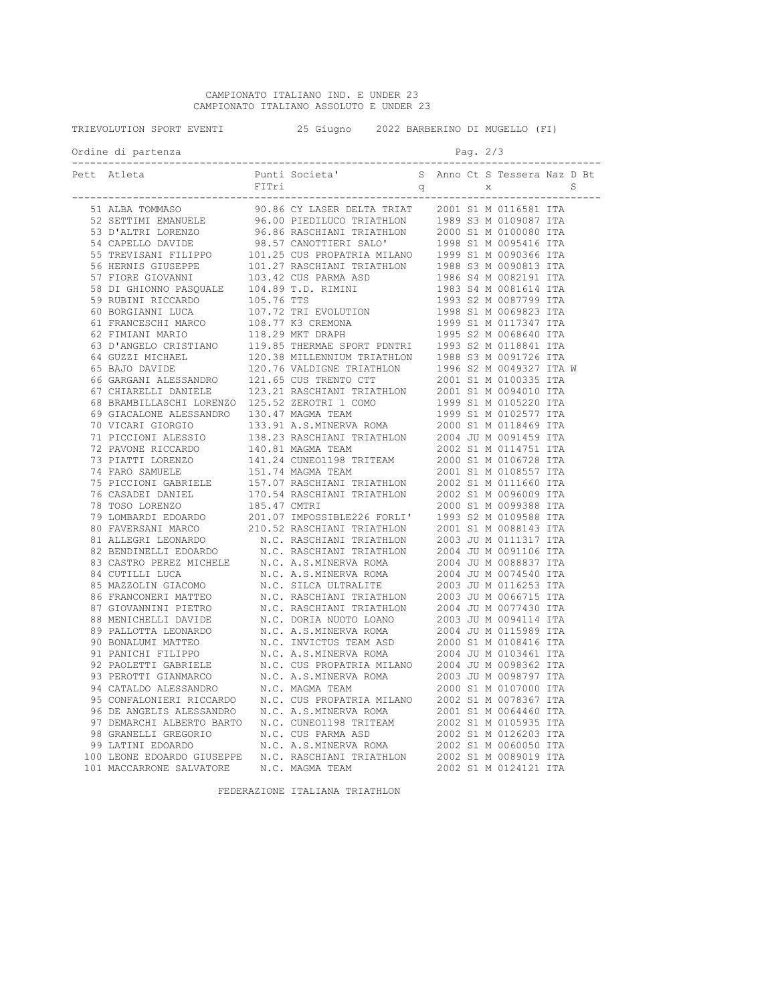CAMPIONATO ITALIANO IND. E UNDER 23 CAMPIONATO ITALIANO ASSOLUTO E UNDER 23

TRIEVOLUTION SPORT EVENTI 25 Giugno 2022 BARBERINO DI MUGELLO (FI) Ordine di partenza entre la page de la page de la page de la page de la page de la page de la page de la page --------------------------------------------------------------------------------------- Punti Societa' S Anno Ct S Tessera Naz D Bt<br>FITri S Anno Ct S Tessera Naz D Bt FITri q x S --------------------------------------------------------------------------------------- 51 ALBA TOMMASO 90.86 CY LASER DELTA TRIAT 2001 S1 M 0116581 ITA 52 SETTIMI EMANUELE 96.00 PIEDILUCO TRIATHLON 1989 S3 M 0109087 ITA 53 D'ALTRI LORENZO 96.86 RASCHIANI TRIATHLON 2000 S1 M 0100080 ITA 54 CAPELLO DAVIDE 98.57 CANOTTIERI SALO' 1998 S1 M 0095416 ITA 55 TREVISANI FILIPPO 101.25 CUS PROPATRIA MILANO 1999 S1 M 0090366 ITA 56 HERNIS GIUSEPPE 101.27 RASCHIANI TRIATHLON 1988 S3 M 0090813 ITA 57 FIORE GIOVANNI 103.42 CUS PARMA ASD 1986 S4 M 0082191 ITA<br>58 DI GHIONNO PASQUALE 104.89 T.D. RIMINI 1983 S4 M 0081614 ITA 58 DI GHIONNO PASQUALE 104.89 T.D. RIMINI 1983 S4 M 0081614 ITA 59 RUBINI RICCARDO 105.76 TTS 1993 S2 M 0087799 ITA 60 BORGIANNI LUCA 107.72 TRI EVOLUTION 1998 S1 M 0069823 ITA 61 FRANCESCHI MARCO 108.77 K3 CREMONA 1999 S1 M 0117347 ITA 61 FRANCESCHI MARCO 108.77 K3 CREMONA 1999 S1 M 0117347 ITA<br>62 FIMIANI MARIO 118.29 MKT DRAPH 1995 S2 M 0068640 ITA<br>63 D'ANGELO CRISTIANO 119.85 THERMAE SPORT PDNTRI 1993 S2 M 0118841 ITA 63 D'ANGELO CRISTIANO 119.85 THERMAE SPORT PDNTRI 1993 S2 M 0118841 ITA 64 GUZZI MICHAEL 120.38 MILLENNIUM TRIATHLON 1988 S3 M 0091726 ITA 65 BAJO DAVIDE 120.76 VALDIGNE TRIATHLON 1996 S2 M 0049327 ITA W 66 GARGANI ALESSANDRO 121.65 CUS TRENTO CTT 2001 S1 M 0100335 ITA 67 CHIARELLI DANIELE 123.21 RASCHIANI TRIATHLON 2001 S1 M 0094010 ITA 68 BRAMBILLASCHI LORENZO 125.52 ZEROTRI 1 COMO 1999 S1 M 0105220 ITA 69 GIACALONE ALESSANDRO 130.47 MAGMA TEAM 1999 S1 M 0102577 ITA 70 VICARI GIORGIO 133.91 A.S.MINERVA ROMA 2000 S1 M 0118469 ITA 71 PICCIONI ALESSIO 138.23 RASCHIANI TRIATHLON 2004 JU M 0091459 ITA 72 PAVONE RICCARDO 140.81 MAGMA TEAM 2002 S1 M 0114751 ITA 73 PIATTI LORENZO 141.24 CUNEO1198 TRITEAM 2000 S1 M 0106728 ITA 74 FARO SAMUELE 151.74 MAGMA TEAM 2001 S1 M 0108557 ITA 75 PICCIONI GABRIELE 157.07 RASCHIANI TRIATHLON 2002 S1 M 0111660 ITA 76 CASADEI DANIEL 170.54 RASCHIANI TRIATHLON<br>78 TOSO LORENZO 185.47 CMTRI 78 TOSO LORENZO 185.47 CMTRI 2000 S1 M 0099388 ITA 79 LOMBARDI EDOARDO 201.07 IMPOSSIBLE226 FORLI' 1993 S2 M 0109588 ITA 80 FAVERSANI MARCO 210.52 RASCHIANI TRIATHLON 2001 S1 M 0088143 ITA 81 ALLEGRI LEONARDO N.C. RASCHIANI TRIATHLON 2003 JU M 0111317 ITA 82 BENDINELLI EN TRIATHLON NELL'S AU MODERNI DE N.C. RASCHIANI TRIATHLON 2004 JU MOO88837 ITA 83 CASTRO PEREZ MICHELE 84 CUTILLI LUCA N.C. A.S.MINERVA ROMA 2004 JU M 0074540 ITA 85 MAZZOLIN GIACOMO N.C. SILCA ULTRALITE 2003 JU M 0116253 ITA 86 FRANCONERI MATTEO N.C. RASCHIANI TRIATHLON 2003 JU M 0066715 ITA 87 GIOVANNINI PIETRO N.C. RASCHIANI TRIATHLON 2004 JU M 0077430 ITA 88 MENICHELLI DAVIDE N.C. DORIA NUOTO LOANO 2003 JU M 0094114 ITA 89 PALLOTTA LEONARDO N.C. A.S.MINERVA ROMA 2004 JU M 0115989 ITA<br>90 BONALUMI MATTEO N.C. INVICTUS TEAM ASD 2000 S1 M 0108416 ITA 90 BONALUMI MATTEO N.C. INVICTUS TEAM ASD 2000 S1 M 0108416 ITA 91 PANICHI FILIPPO N.C. A.S.MINERVA ROMA<br>92 PAOLETTI GABRIELE N.C. CUS PROPATRIA MILAN 92 PAOLETTI GABRIELE M.C. CUS PROPATRIA MILANO 2004 JU M 0098362 ITA<br>93 PEROTTI GIANMARCO M.C. A.S.MINERVA ROMA 2003 JU M 0098797 ITA 93 PEROTTI GIANMARCO N.C. A.S.MINERVA ROMA 2003 JU M 0098797 ITA 94 CATALDO ALESSANDRO N.C. MAGMA TEAM 2000 S1 M 0107000 ITA 95 CONFALONIERI RICCARDO N.C. CUS PROPATRIA MILANO 2002 S1 M 0078367 ITA<br>96 DE ANGELIS ALESSANDRO N.C. A S. MINERVA ROMA 2001 S1 M 0064460 ITA 96 DE ANGELIS ALESSANDRO N.C. A.S.MINERVA ROMA 2001 S1 M 0064460 ITA<br>97 DEMARCHI ALBERTO BARTO N.C. CUNEO1198 TRITEAM 2002 S1 M 0105935 ITA 97 DEMARCHI ALBERTO BARTO N.C. CUNEO1198 TRITEAM 2002 S1 M 0105935 ITA 98 GRANELLI GREGORIO N.C. CUS PARMA ASD 2002 S1 M 0126203 ITA 99 LATINI EDOARDO N.C. A.S.MINERVA ROMA 2002 S1 M 0060050 ITA 100 LEONE EDOARDO GIUSEPPE N.C. RASCHIANI TRIATHLON<br>101 MACCARRONE SALVATORE N.C. MAGMA TEAM N.C. MAGMA TEAM 2002 S1 M 0124121 ITA

FEDERAZIONE ITALIANA TRIATHLON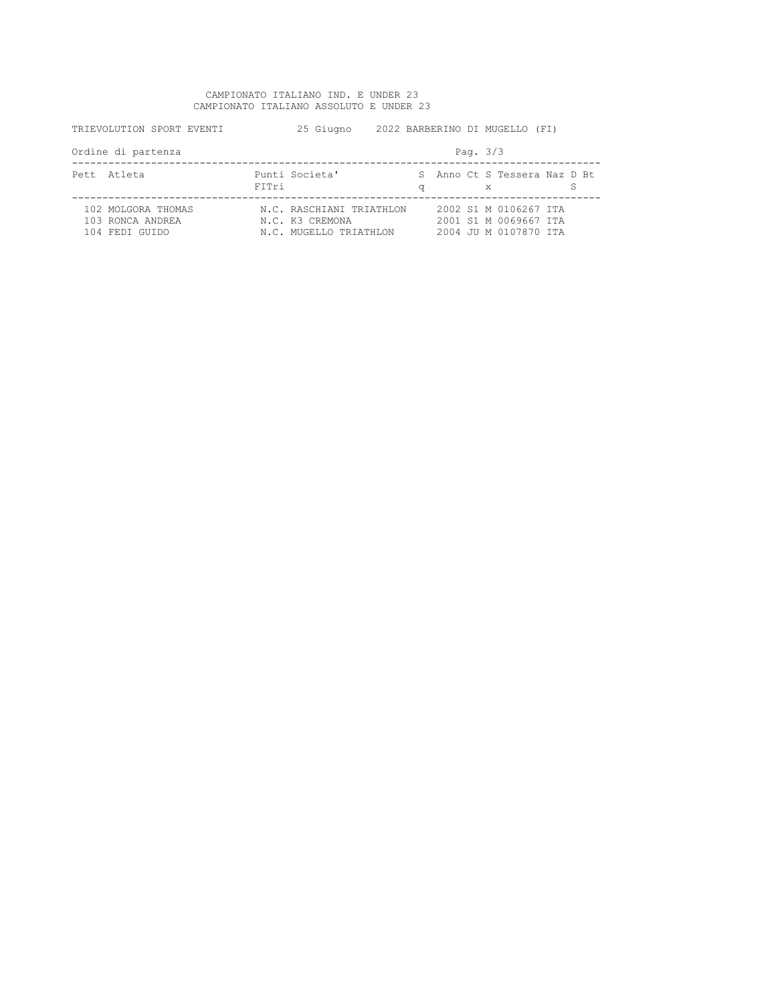## CAMPIONATO ITALIANO IND. E UNDER 23 CAMPIONATO ITALIANO ASSOLUTO E UNDER 23

| TRIEVOLUTION SPORT EVENTI                                | 25 Giugno                                                             | 2022 BARBERINO DI MUGELLO (FI) |                                                                         |  |  |  |
|----------------------------------------------------------|-----------------------------------------------------------------------|--------------------------------|-------------------------------------------------------------------------|--|--|--|
| Ordine di partenza                                       | Pag. $3/3$                                                            |                                |                                                                         |  |  |  |
| Pett Atleta                                              | Punti Societa'<br>FITri                                               | q                              | S Anno Ct S Tessera Naz D Bt<br>X                                       |  |  |  |
| 102 MOLGORA THOMAS<br>103 RONCA ANDREA<br>104 FEDI GUIDO | N.C. RASCHIANI TRIATHLON<br>N.C. K3 CREMONA<br>N.C. MUGELLO TRIATHLON |                                | 2002 S1 M 0106267 TTA<br>2001 S1 M 0069667 ITA<br>2004 JU M 0107870 TTA |  |  |  |